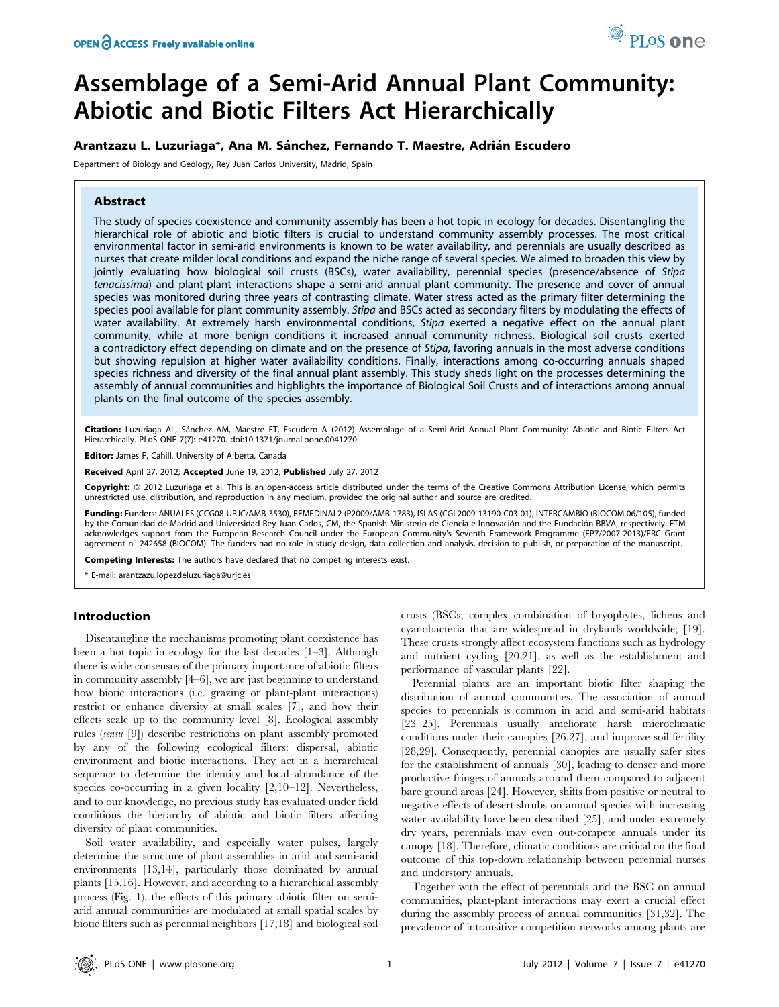# Assemblage of a Semi-Arid Annual Plant Community: Abiotic and Biotic Filters Act Hierarchically

# Arantzazu L. Luzuriaga\*, Ana M. Sánchez, Fernando T. Maestre, Adrián Escudero

Department of Biology and Geology, Rey Juan Carlos University, Madrid, Spain

# Abstract

The study of species coexistence and community assembly has been a hot topic in ecology for decades. Disentangling the hierarchical role of abiotic and biotic filters is crucial to understand community assembly processes. The most critical environmental factor in semi-arid environments is known to be water availability, and perennials are usually described as nurses that create milder local conditions and expand the niche range of several species. We aimed to broaden this view by jointly evaluating how biological soil crusts (BSCs), water availability, perennial species (presence/absence of Stipa tenacissima) and plant-plant interactions shape a semi-arid annual plant community. The presence and cover of annual species was monitored during three years of contrasting climate. Water stress acted as the primary filter determining the species pool available for plant community assembly. Stipa and BSCs acted as secondary filters by modulating the effects of water availability. At extremely harsh environmental conditions, Stipa exerted a negative effect on the annual plant community, while at more benign conditions it increased annual community richness. Biological soil crusts exerted a contradictory effect depending on climate and on the presence of Stipa, favoring annuals in the most adverse conditions but showing repulsion at higher water availability conditions. Finally, interactions among co-occurring annuals shaped species richness and diversity of the final annual plant assembly. This study sheds light on the processes determining the assembly of annual communities and highlights the importance of Biological Soil Crusts and of interactions among annual plants on the final outcome of the species assembly.

Citation: Luzuriaga AL, Sánchez AM, Maestre FT, Escudero A (2012) Assemblage of a Semi-Arid Annual Plant Community: Abiotic and Biotic Filters Act Hierarchically. PLoS ONE 7(7): e41270. doi:10.1371/journal.pone.0041270

Editor: James F. Cahill, University of Alberta, Canada

Received April 27, 2012; Accepted June 19, 2012; Published July 27, 2012

Copyright: @ 2012 Luzuriaga et al. This is an open-access article distributed under the terms of the Creative Commons Attribution License, which permits unrestricted use, distribution, and reproduction in any medium, provided the original author and source are credited.

Funding: Funders: ANUALES (CCG08-URJC/AMB-3530), REMEDINAL2 (P2009/AMB-1783), ISLAS (CGL2009-13190-C03-01), INTERCAMBIO (BIOCOM 06/105), funded by the Comunidad de Madrid and Universidad Rey Juan Carlos, CM, the Spanish Ministerio de Ciencia e Innovación and the Fundación BBVA, respectively. FTM acknowledges support from the European Research Council under the European Community's Seventh Framework Programme (FP7/2007-2013)/ERC Grant agreement n° 242658 (BIOCOM). The funders had no role in study design, data collection and analysis, decision to publish, or preparation of the manuscript.

Competing Interests: The authors have declared that no competing interests exist.

\* E-mail: arantzazu.lopezdeluzuriaga@urjc.es

# Introduction

Disentangling the mechanisms promoting plant coexistence has been a hot topic in ecology for the last decades [1–3]. Although there is wide consensus of the primary importance of abiotic filters in community assembly [4–6], we are just beginning to understand how biotic interactions (i.e. grazing or plant-plant interactions) restrict or enhance diversity at small scales [7], and how their effects scale up to the community level [8]. Ecological assembly rules (sensu [9]) describe restrictions on plant assembly promoted by any of the following ecological filters: dispersal, abiotic environment and biotic interactions. They act in a hierarchical sequence to determine the identity and local abundance of the species co-occurring in a given locality [2,10–12]. Nevertheless, and to our knowledge, no previous study has evaluated under field conditions the hierarchy of abiotic and biotic filters affecting diversity of plant communities.

Soil water availability, and especially water pulses, largely determine the structure of plant assemblies in arid and semi-arid environments [13,14], particularly those dominated by annual plants [15,16]. However, and according to a hierarchical assembly process (Fig. 1), the effects of this primary abiotic filter on semiarid annual communities are modulated at small spatial scales by biotic filters such as perennial neighbors [17,18] and biological soil crusts (BSCs; complex combination of bryophytes, lichens and cyanobacteria that are widespread in drylands worldwide; [19]. These crusts strongly affect ecosystem functions such as hydrology and nutrient cycling [20,21], as well as the establishment and performance of vascular plants [22].

Perennial plants are an important biotic filter shaping the distribution of annual communities. The association of annual species to perennials is common in arid and semi-arid habitats [23–25]. Perennials usually ameliorate harsh microclimatic conditions under their canopies [26,27], and improve soil fertility [28,29]. Consequently, perennial canopies are usually safer sites for the establishment of annuals [30], leading to denser and more productive fringes of annuals around them compared to adjacent bare ground areas [24]. However, shifts from positive or neutral to negative effects of desert shrubs on annual species with increasing water availability have been described [25], and under extremely dry years, perennials may even out-compete annuals under its canopy [18]. Therefore, climatic conditions are critical on the final outcome of this top-down relationship between perennial nurses and understory annuals.

Together with the effect of perennials and the BSC on annual communities, plant-plant interactions may exert a crucial effect during the assembly process of annual communities [31,32]. The prevalence of intransitive competition networks among plants are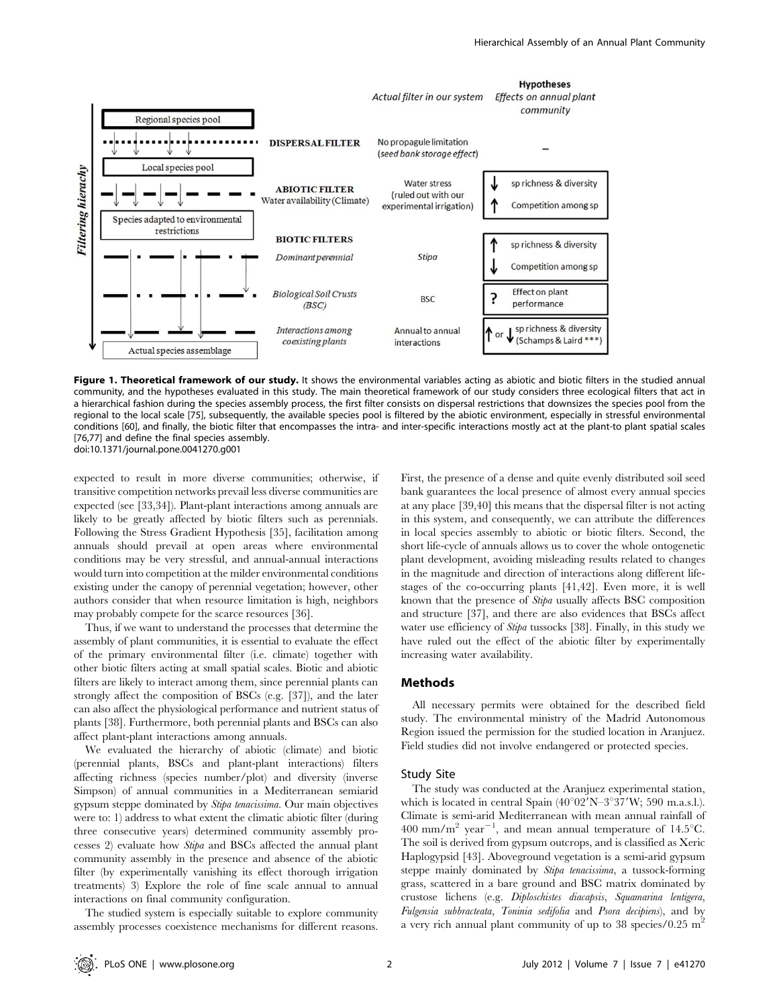

Figure 1. Theoretical framework of our study. It shows the environmental variables acting as abiotic and biotic filters in the studied annual community, and the hypotheses evaluated in this study. The main theoretical framework of our study considers three ecological filters that act in a hierarchical fashion during the species assembly process, the first filter consists on dispersal restrictions that downsizes the species pool from the regional to the local scale [75], subsequently, the available species pool is filtered by the abiotic environment, especially in stressful environmental conditions [60], and finally, the biotic filter that encompasses the intra- and inter-specific interactions mostly act at the plant-to plant spatial scales [76,77] and define the final species assembly. doi:10.1371/journal.pone.0041270.g001

expected to result in more diverse communities; otherwise, if transitive competition networks prevail less diverse communities are expected (see [33,34]). Plant-plant interactions among annuals are likely to be greatly affected by biotic filters such as perennials. Following the Stress Gradient Hypothesis [35], facilitation among annuals should prevail at open areas where environmental conditions may be very stressful, and annual-annual interactions would turn into competition at the milder environmental conditions existing under the canopy of perennial vegetation; however, other authors consider that when resource limitation is high, neighbors may probably compete for the scarce resources [36].

Thus, if we want to understand the processes that determine the assembly of plant communities, it is essential to evaluate the effect of the primary environmental filter (i.e. climate) together with other biotic filters acting at small spatial scales. Biotic and abiotic filters are likely to interact among them, since perennial plants can strongly affect the composition of BSCs (e.g. [37]), and the later can also affect the physiological performance and nutrient status of plants [38]. Furthermore, both perennial plants and BSCs can also affect plant-plant interactions among annuals.

We evaluated the hierarchy of abiotic (climate) and biotic (perennial plants, BSCs and plant-plant interactions) filters affecting richness (species number/plot) and diversity (inverse Simpson) of annual communities in a Mediterranean semiarid gypsum steppe dominated by Stipa tenacissima. Our main objectives were to: 1) address to what extent the climatic abiotic filter (during three consecutive years) determined community assembly processes 2) evaluate how Stipa and BSCs affected the annual plant community assembly in the presence and absence of the abiotic filter (by experimentally vanishing its effect thorough irrigation treatments) 3) Explore the role of fine scale annual to annual interactions on final community configuration.

The studied system is especially suitable to explore community assembly processes coexistence mechanisms for different reasons. First, the presence of a dense and quite evenly distributed soil seed bank guarantees the local presence of almost every annual species at any place [39,40] this means that the dispersal filter is not acting in this system, and consequently, we can attribute the differences in local species assembly to abiotic or biotic filters. Second, the short life-cycle of annuals allows us to cover the whole ontogenetic plant development, avoiding misleading results related to changes in the magnitude and direction of interactions along different lifestages of the co-occurring plants [41,42]. Even more, it is well known that the presence of Stipa usually affects BSC composition and structure [37], and there are also evidences that BSCs affect water use efficiency of *Stipa* tussocks [38]. Finally, in this study we have ruled out the effect of the abiotic filter by experimentally increasing water availability.

#### Methods

All necessary permits were obtained for the described field study. The environmental ministry of the Madrid Autonomous Region issued the permission for the studied location in Aranjuez. Field studies did not involve endangered or protected species.

#### Study Site

The study was conducted at the Aranjuez experimental station, which is located in central Spain  $(40^{\circ}02'N-3^{\circ}37'W; 590 \text{ m.a.s.}l)$ . Climate is semi-arid Mediterranean with mean annual rainfall of  $400 \text{ mm/m}^2 \text{ year}^{-1}$ , and mean annual temperature of 14.5°C. The soil is derived from gypsum outcrops, and is classified as Xeric Haplogypsid [43]. Aboveground vegetation is a semi-arid gypsum steppe mainly dominated by Stipa tenacissima, a tussock-forming grass, scattered in a bare ground and BSC matrix dominated by crustose lichens (e.g. Diploschistes diacapsis, Squamarina lentigera, Fulgensia subbracteata, Toninia sedifolia and Psora decipiens), and by a very rich annual plant community of up to 38 species/0.25  $m<sup>2</sup>$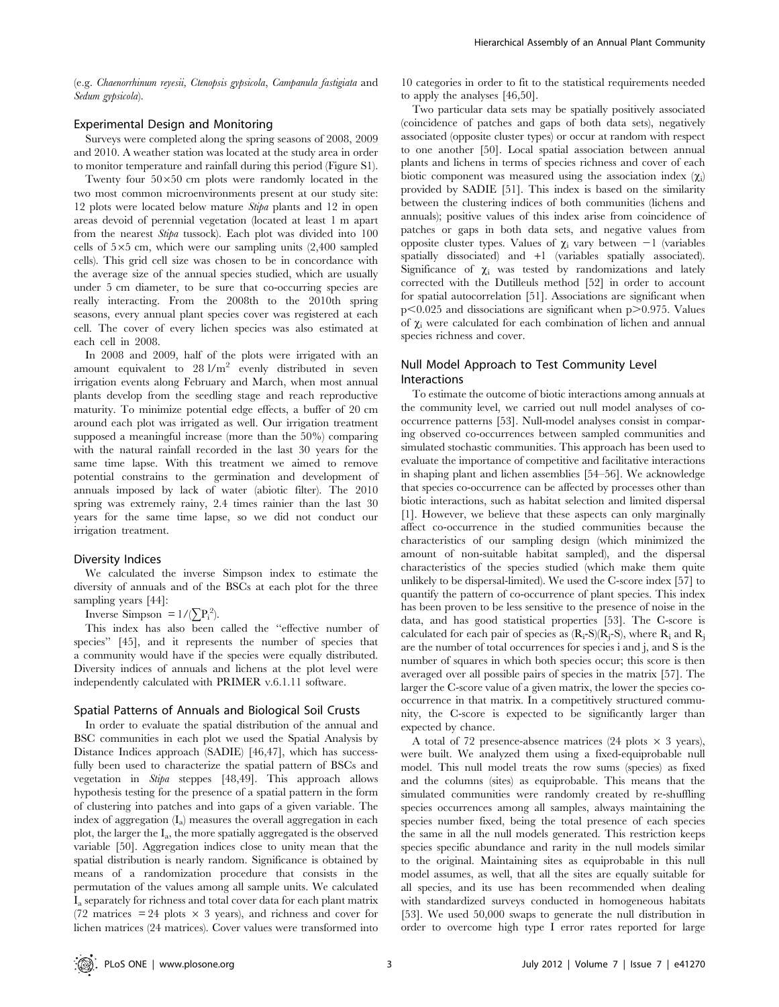(e.g. Chaenorrhinum reyesii, Ctenopsis gypsicola, Campanula fastigiata and Sedum gypsicola).

# Experimental Design and Monitoring

Surveys were completed along the spring seasons of 2008, 2009 and 2010. A weather station was located at the study area in order to monitor temperature and rainfall during this period (Figure S1).

Twenty four  $50\times50$  cm plots were randomly located in the two most common microenvironments present at our study site: 12 plots were located below mature Stipa plants and 12 in open areas devoid of perennial vegetation (located at least 1 m apart from the nearest Stipa tussock). Each plot was divided into 100 cells of  $5\times5$  cm, which were our sampling units (2,400 sampled cells). This grid cell size was chosen to be in concordance with the average size of the annual species studied, which are usually under 5 cm diameter, to be sure that co-occurring species are really interacting. From the 2008th to the 2010th spring seasons, every annual plant species cover was registered at each cell. The cover of every lichen species was also estimated at each cell in 2008.

In 2008 and 2009, half of the plots were irrigated with an amount equivalent to  $28 \text{ l/m}^2$  evenly distributed in seven irrigation events along February and March, when most annual plants develop from the seedling stage and reach reproductive maturity. To minimize potential edge effects, a buffer of 20 cm around each plot was irrigated as well. Our irrigation treatment supposed a meaningful increase (more than the 50%) comparing with the natural rainfall recorded in the last 30 years for the same time lapse. With this treatment we aimed to remove potential constrains to the germination and development of annuals imposed by lack of water (abiotic filter). The 2010 spring was extremely rainy, 2.4 times rainier than the last 30 years for the same time lapse, so we did not conduct our irrigation treatment.

#### Diversity Indices

We calculated the inverse Simpson index to estimate the diversity of annuals and of the BSCs at each plot for the three sampling years [44]:

Inverse Simpson =  $1/(\sum P_i^2)$ .

This index has also been called the ''effective number of species'' [45], and it represents the number of species that a community would have if the species were equally distributed. Diversity indices of annuals and lichens at the plot level were independently calculated with PRIMER v.6.1.11 software.

#### Spatial Patterns of Annuals and Biological Soil Crusts

In order to evaluate the spatial distribution of the annual and BSC communities in each plot we used the Spatial Analysis by Distance Indices approach (SADIE) [46,47], which has successfully been used to characterize the spatial pattern of BSCs and vegetation in Stipa steppes [48,49]. This approach allows hypothesis testing for the presence of a spatial pattern in the form of clustering into patches and into gaps of a given variable. The index of aggregation  $(I_a)$  measures the overall aggregation in each plot, the larger the Ia, the more spatially aggregated is the observed variable [50]. Aggregation indices close to unity mean that the spatial distribution is nearly random. Significance is obtained by means of a randomization procedure that consists in the permutation of the values among all sample units. We calculated Ia separately for richness and total cover data for each plant matrix (72 matrices = 24 plots  $\times$  3 years), and richness and cover for lichen matrices (24 matrices). Cover values were transformed into

10 categories in order to fit to the statistical requirements needed to apply the analyses [46,50].

Two particular data sets may be spatially positively associated (coincidence of patches and gaps of both data sets), negatively associated (opposite cluster types) or occur at random with respect to one another [50]. Local spatial association between annual plants and lichens in terms of species richness and cover of each biotic component was measured using the association index  $(\chi_i)$ provided by SADIE [51]. This index is based on the similarity between the clustering indices of both communities (lichens and annuals); positive values of this index arise from coincidence of patches or gaps in both data sets, and negative values from opposite cluster types. Values of  $\chi$ <sub>i</sub> vary between -1 (variables spatially dissociated) and +1 (variables spatially associated). Significance of  $\chi$ <sub>i</sub> was tested by randomizations and lately corrected with the Dutilleuls method [52] in order to account for spatial autocorrelation [51]. Associations are significant when  $p<0.025$  and dissociations are significant when  $p>0.975$ . Values of  $\chi$ <sub>i</sub> were calculated for each combination of lichen and annual species richness and cover.

# Null Model Approach to Test Community Level Interactions

To estimate the outcome of biotic interactions among annuals at the community level, we carried out null model analyses of cooccurrence patterns [53]. Null-model analyses consist in comparing observed co-occurrences between sampled communities and simulated stochastic communities. This approach has been used to evaluate the importance of competitive and facilitative interactions in shaping plant and lichen assemblies [54–56]. We acknowledge that species co-occurrence can be affected by processes other than biotic interactions, such as habitat selection and limited dispersal [1]. However, we believe that these aspects can only marginally affect co-occurrence in the studied communities because the characteristics of our sampling design (which minimized the amount of non-suitable habitat sampled), and the dispersal characteristics of the species studied (which make them quite unlikely to be dispersal-limited). We used the C-score index [57] to quantify the pattern of co-occurrence of plant species. This index has been proven to be less sensitive to the presence of noise in the data, and has good statistical properties [53]. The C-score is calculated for each pair of species as  $(R_i-S)(R_i-S)$ , where  $R_i$  and  $R_i$ are the number of total occurrences for species i and j, and S is the number of squares in which both species occur; this score is then averaged over all possible pairs of species in the matrix [57]. The larger the C-score value of a given matrix, the lower the species cooccurrence in that matrix. In a competitively structured community, the C-score is expected to be significantly larger than expected by chance.

A total of 72 presence-absence matrices (24 plots  $\times$  3 years), were built. We analyzed them using a fixed-equiprobable null model. This null model treats the row sums (species) as fixed and the columns (sites) as equiprobable. This means that the simulated communities were randomly created by re-shuffling species occurrences among all samples, always maintaining the species number fixed, being the total presence of each species the same in all the null models generated. This restriction keeps species specific abundance and rarity in the null models similar to the original. Maintaining sites as equiprobable in this null model assumes, as well, that all the sites are equally suitable for all species, and its use has been recommended when dealing with standardized surveys conducted in homogeneous habitats [53]. We used 50,000 swaps to generate the null distribution in order to overcome high type I error rates reported for large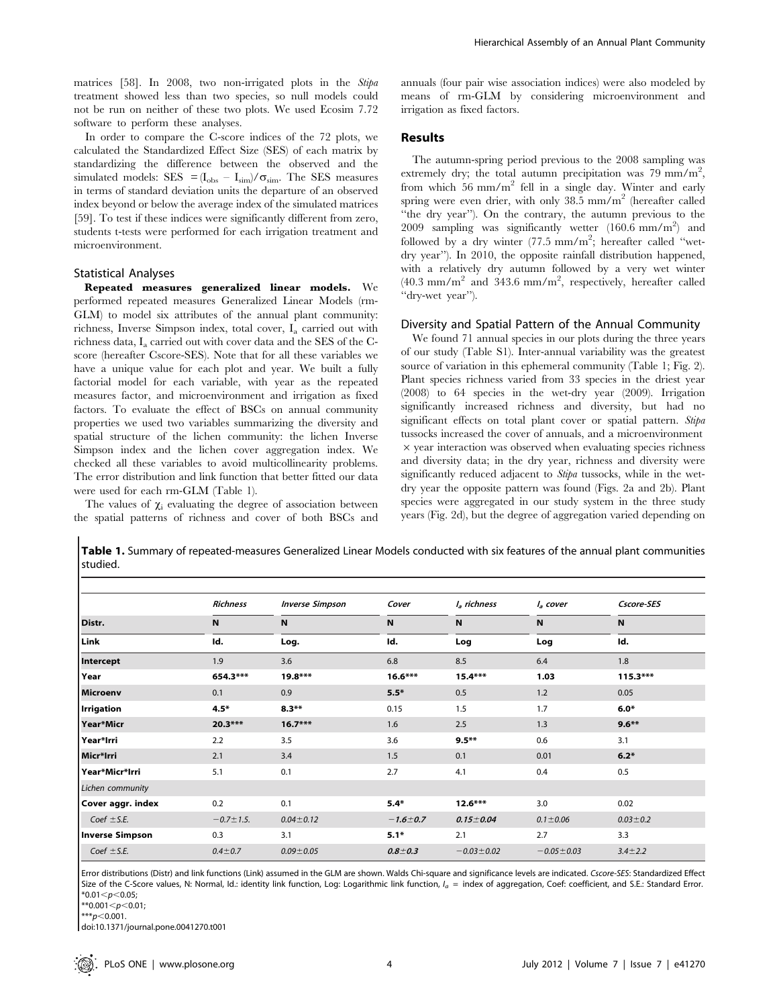matrices [58]. In 2008, two non-irrigated plots in the Stipa treatment showed less than two species, so null models could not be run on neither of these two plots. We used Ecosim 7.72 software to perform these analyses.

In order to compare the C-score indices of the 72 plots, we calculated the Standardized Effect Size (SES) of each matrix by standardizing the difference between the observed and the simulated models: SES =  $(I_{obs} - I_{sim})/\sigma_{sim}$ . The SES measures in terms of standard deviation units the departure of an observed index beyond or below the average index of the simulated matrices [59]. To test if these indices were significantly different from zero, students t-tests were performed for each irrigation treatment and microenvironment.

#### Statistical Analyses

Repeated measures generalized linear models. We performed repeated measures Generalized Linear Models (rm-GLM) to model six attributes of the annual plant community: richness, Inverse Simpson index, total cover,  $I_a$  carried out with richness data, Ia carried out with cover data and the SES of the Cscore (hereafter Cscore-SES). Note that for all these variables we have a unique value for each plot and year. We built a fully factorial model for each variable, with year as the repeated measures factor, and microenvironment and irrigation as fixed factors. To evaluate the effect of BSCs on annual community properties we used two variables summarizing the diversity and spatial structure of the lichen community: the lichen Inverse Simpson index and the lichen cover aggregation index. We checked all these variables to avoid multicollinearity problems. The error distribution and link function that better fitted our data were used for each rm-GLM (Table 1).

The values of  $\chi$ <sub>i</sub> evaluating the degree of association between the spatial patterns of richness and cover of both BSCs and annuals (four pair wise association indices) were also modeled by means of rm-GLM by considering microenvironment and irrigation as fixed factors.

Hierarchical Assembly of an Annual Plant Community

# Results

The autumn-spring period previous to the 2008 sampling was extremely dry; the total autumn precipitation was  $79 \text{ mm/m}^2$ , from which 56 mm/m<sup>2</sup> fell in a single day. Winter and early spring were even drier, with only  $38.5$  mm/m<sup>2</sup> (hereafter called ''the dry year''). On the contrary, the autumn previous to the 2009 sampling was significantly wetter  $(160.6 \text{ mm/m}^2)$  and followed by a dry winter  $(77.5 \text{ mm/m}^2)$ ; hereafter called "wetdry year''). In 2010, the opposite rainfall distribution happened, with a relatively dry autumn followed by a very wet winter (40.3 mm/m<sup>2</sup> and 343.6 mm/m<sup>2</sup>, respectively, hereafter called "dry-wet year").

#### Diversity and Spatial Pattern of the Annual Community

We found 71 annual species in our plots during the three years of our study (Table S1). Inter-annual variability was the greatest source of variation in this ephemeral community (Table 1; Fig. 2). Plant species richness varied from 33 species in the driest year (2008) to 64 species in the wet-dry year (2009). Irrigation significantly increased richness and diversity, but had no significant effects on total plant cover or spatial pattern. Stipa tussocks increased the cover of annuals, and a microenvironment  $\times$  vear interaction was observed when evaluating species richness and diversity data; in the dry year, richness and diversity were significantly reduced adjacent to Stipa tussocks, while in the wetdry year the opposite pattern was found (Figs. 2a and 2b). Plant species were aggregated in our study system in the three study years (Fig. 2d), but the degree of aggregation varied depending on

Table 1. Summary of repeated-measures Generalized Linear Models conducted with six features of the annual plant communities studied.

| Distr.<br>Link         | <b>Richness</b><br>N<br>Id. | <b>Inverse Simpson</b><br>N<br>Log. | Cover<br>N<br>Id. | $Ia$ richness<br>$\mathbf N$<br>Log | $I_a$ cover<br>N<br>Log | Cscore-SES<br>N<br>Id. |           |          |           |           |           |      |            |
|------------------------|-----------------------------|-------------------------------------|-------------------|-------------------------------------|-------------------------|------------------------|-----------|----------|-----------|-----------|-----------|------|------------|
|                        |                             |                                     |                   |                                     |                         |                        | Intercept | 1.9      | 3.6       | 6.8       | 8.5       | 6.4  | 1.8        |
|                        |                             |                                     |                   |                                     |                         |                        | Year      | 654.3*** | $19.8***$ | $16.6***$ | $15.4***$ | 1.03 | $115.3***$ |
| <b>Microenv</b>        | 0.1                         | 0.9                                 | $5.5*$            | 0.5                                 | 1.2                     | 0.05                   |           |          |           |           |           |      |            |
| <b>Irrigation</b>      | $4.5*$                      | $8.3**$                             | 0.15              | 1.5                                 | 1.7                     | $6.0*$                 |           |          |           |           |           |      |            |
| Year*Micr              | $20.3***$                   | $16.7***$                           | 1.6               | 2.5                                 | 1.3                     | $9.6***$               |           |          |           |           |           |      |            |
| Year*Irri              | 2.2                         | 3.5                                 | 3.6               | $9.5***$                            | 0.6                     | 3.1                    |           |          |           |           |           |      |            |
| Micr*Irri              | 2.1                         | 3.4                                 | 1.5               | 0.1                                 | 0.01                    | $6.2*$                 |           |          |           |           |           |      |            |
| Year*Micr*Irri         | 5.1                         | 0.1                                 | 2.7               | 4.1                                 | 0.4                     | 0.5                    |           |          |           |           |           |      |            |
| Lichen community       |                             |                                     |                   |                                     |                         |                        |           |          |           |           |           |      |            |
| Cover aggr. index      | 0.2                         | 0.1                                 | $5.4*$            | $12.6***$                           | 3.0                     | 0.02                   |           |          |           |           |           |      |            |
| Coef $\pm$ S.E.        | $-0.7 \pm 1.5$ .            | $0.04 \pm 0.12$                     | $-1.6 \pm 0.7$    | $0.15 \pm 0.04$                     | $0.1 \pm 0.06$          | $0.03 \pm 0.2$         |           |          |           |           |           |      |            |
| <b>Inverse Simpson</b> | 0.3                         | 3.1                                 | $5.1*$            | 2.1                                 | 2.7                     | 3.3                    |           |          |           |           |           |      |            |
| Coef $\pm$ S.E.        | $0.4 + 0.7$                 | $0.09 \pm 0.05$                     | $0.8{\pm}0.3$     | $-0.03 \pm 0.02$                    | $-0.05 \pm 0.03$        | $3.4 \pm 2.2$          |           |          |           |           |           |      |            |

Error distributions (Distr) and link functions (Link) assumed in the GLM are shown. Walds Chi-square and significance levels are indicated. Cscore-SES: Standardized Effect Size of the C-Score values, N: Normal, Id.: identity link function, Log: Logarithmic link function,  $I_a =$  index of aggregation, Coef: coefficient, and S.E.: Standard Error.  $*0.01 < p < 0.05;$ 

 $*$ \*0.001 $<$ p $<$ 0.01;

 $**p<0.001$ .

doi:10.1371/journal.pone.0041270.t001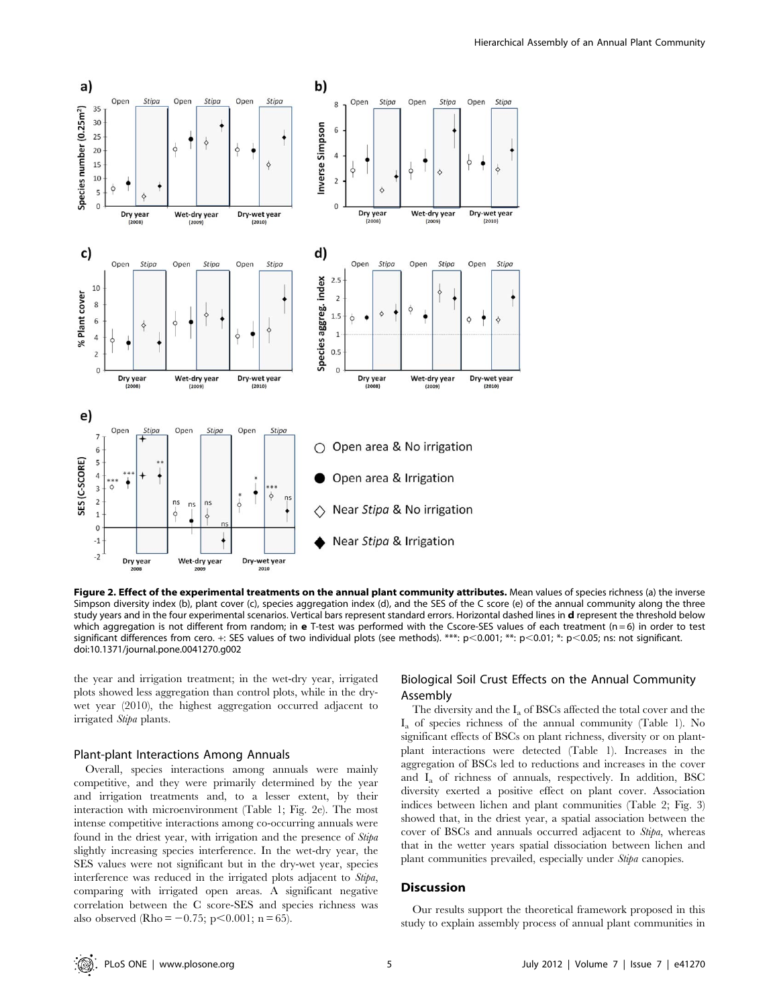

Figure 2. Effect of the experimental treatments on the annual plant community attributes. Mean values of species richness (a) the inverse Simpson diversity index (b), plant cover (c), species aggregation index (d), and the SES of the C score (e) of the annual community along the three study years and in the four experimental scenarios. Vertical bars represent standard errors. Horizontal dashed lines in **d** represent the threshold below which aggregation is not different from random; in  $e$  T-test was performed with the Cscore-SES values of each treatment (n = 6) in order to test significant differences from cero. +: SES values of two individual plots (see methods). \*\*\*: p<0.001; \*\*: p<0.01; \*: p<0.05; ns: not significant. doi:10.1371/journal.pone.0041270.g002

the year and irrigation treatment; in the wet-dry year, irrigated plots showed less aggregation than control plots, while in the drywet year (2010), the highest aggregation occurred adjacent to irrigated Stipa plants.

#### Plant-plant Interactions Among Annuals

Overall, species interactions among annuals were mainly competitive, and they were primarily determined by the year and irrigation treatments and, to a lesser extent, by their interaction with microenvironment (Table 1; Fig. 2e). The most intense competitive interactions among co-occurring annuals were found in the driest year, with irrigation and the presence of Stipa slightly increasing species interference. In the wet-dry year, the SES values were not significant but in the dry-wet year, species interference was reduced in the irrigated plots adjacent to Stipa, comparing with irrigated open areas. A significant negative correlation between the C score-SES and species richness was also observed (Rho =  $-0.75$ ; p $< 0.001$ ; n = 65).

# Biological Soil Crust Effects on the Annual Community Assembly

The diversity and the  $I_a$  of BSCs affected the total cover and the  $I_a$  of species richness of the annual community (Table 1). No significant effects of BSCs on plant richness, diversity or on plantplant interactions were detected (Table 1). Increases in the aggregation of BSCs led to reductions and increases in the cover and Ia of richness of annuals, respectively. In addition, BSC diversity exerted a positive effect on plant cover. Association indices between lichen and plant communities (Table 2; Fig. 3) showed that, in the driest year, a spatial association between the cover of BSCs and annuals occurred adjacent to Stipa, whereas that in the wetter years spatial dissociation between lichen and plant communities prevailed, especially under Stipa canopies.

#### Discussion

Our results support the theoretical framework proposed in this study to explain assembly process of annual plant communities in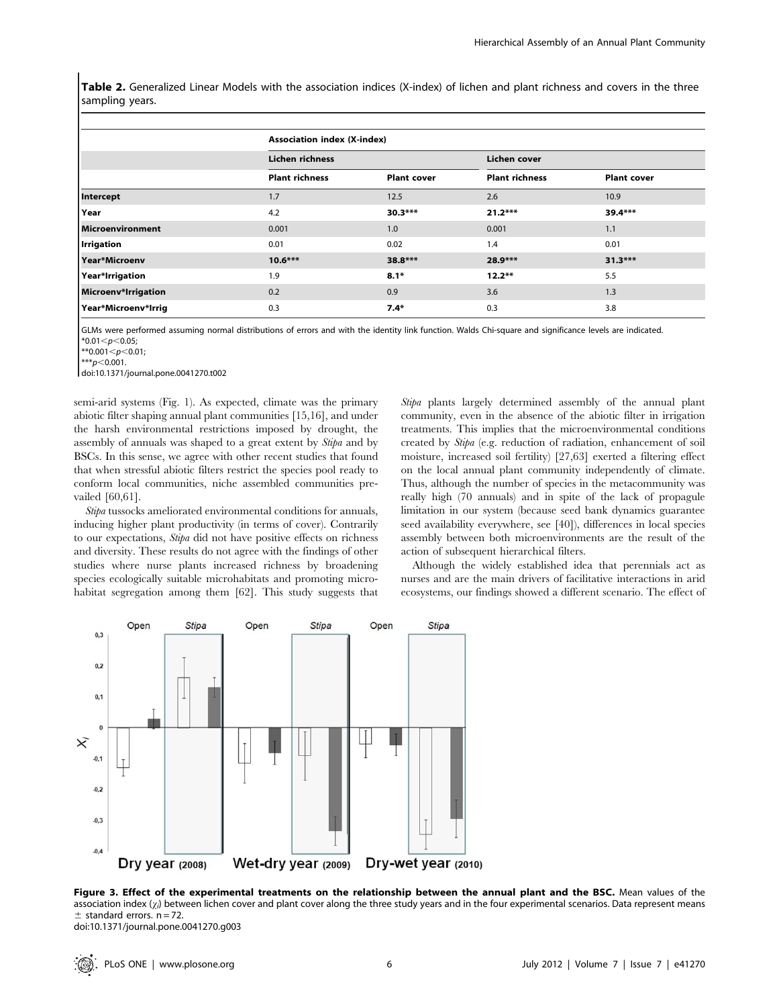Table 2. Generalized Linear Models with the association indices (X-index) of lichen and plant richness and covers in the three sampling years.

|                         | <b>Association index (X-index)</b> |                    |                       |                    |  |  |  |
|-------------------------|------------------------------------|--------------------|-----------------------|--------------------|--|--|--|
|                         | <b>Lichen richness</b>             |                    | Lichen cover          |                    |  |  |  |
|                         | <b>Plant richness</b>              | <b>Plant cover</b> | <b>Plant richness</b> | <b>Plant cover</b> |  |  |  |
| Intercept               | 1.7                                | 12.5               | 2.6                   | 10.9               |  |  |  |
| Year                    | 4.2                                | $30.3***$          | $21.2***$             | $39.4***$          |  |  |  |
| <b>Microenvironment</b> | 0.001                              | 1.0                | 0.001                 | 1.1                |  |  |  |
| Irrigation              | 0.01                               | 0.02               | 1.4                   | 0.01               |  |  |  |
| Year*Microenv           | $10.6***$                          | $38.8***$          | 28.9***               | $31.3***$          |  |  |  |
| Year*Irrigation         | 1.9                                | $8.1*$             | $12.2***$             | 5.5                |  |  |  |
| Microenv*Irrigation     | 0.2                                | 0.9                | 3.6                   | 1.3                |  |  |  |
| Year*Microenv*Irrig     | 0.3                                | $7.4*$             | 0.3                   | 3.8                |  |  |  |

GLMs were performed assuming normal distributions of errors and with the identity link function. Walds Chi-square and significance levels are indicated.  $*0.01 < n < 0.05$ ;

\*\*0.001 $\leq p \leq 0.01;$ 

 $***p<0.001$ . doi:10.1371/journal.pone.0041270.t002

semi-arid systems (Fig. 1). As expected, climate was the primary abiotic filter shaping annual plant communities [15,16], and under the harsh environmental restrictions imposed by drought, the assembly of annuals was shaped to a great extent by Stipa and by BSCs. In this sense, we agree with other recent studies that found that when stressful abiotic filters restrict the species pool ready to conform local communities, niche assembled communities prevailed [60,61].

Stipa tussocks ameliorated environmental conditions for annuals, inducing higher plant productivity (in terms of cover). Contrarily to our expectations, Stipa did not have positive effects on richness and diversity. These results do not agree with the findings of other studies where nurse plants increased richness by broadening species ecologically suitable microhabitats and promoting microhabitat segregation among them [62]. This study suggests that Stipa plants largely determined assembly of the annual plant community, even in the absence of the abiotic filter in irrigation treatments. This implies that the microenvironmental conditions created by Stipa (e.g. reduction of radiation, enhancement of soil moisture, increased soil fertility) [27,63] exerted a filtering effect on the local annual plant community independently of climate. Thus, although the number of species in the metacommunity was really high (70 annuals) and in spite of the lack of propagule limitation in our system (because seed bank dynamics guarantee seed availability everywhere, see [40]), differences in local species assembly between both microenvironments are the result of the action of subsequent hierarchical filters.

Although the widely established idea that perennials act as nurses and are the main drivers of facilitative interactions in arid ecosystems, our findings showed a different scenario. The effect of



Figure 3. Effect of the experimental treatments on the relationship between the annual plant and the BSC. Mean values of the association index ( $\chi_{i}$ ) between lichen cover and plant cover along the three study years and in the four experimental scenarios. Data represent means  $±$  standard errors. n = 72. doi:10.1371/journal.pone.0041270.g003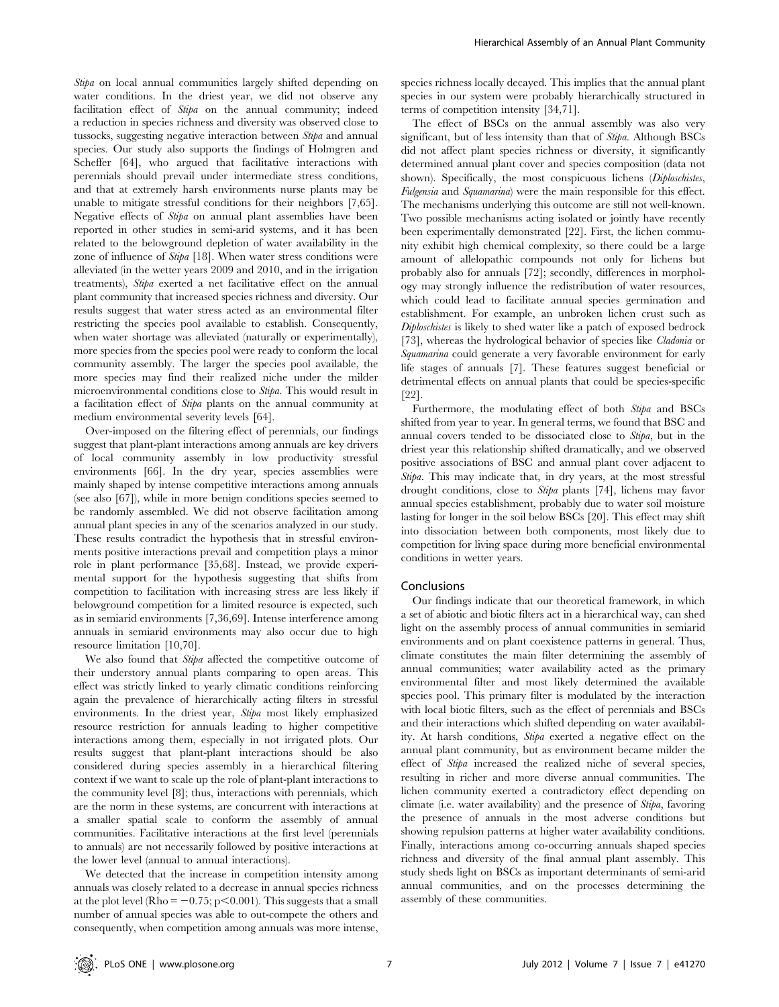Stipa on local annual communities largely shifted depending on water conditions. In the driest year, we did not observe any facilitation effect of Stipa on the annual community; indeed a reduction in species richness and diversity was observed close to tussocks, suggesting negative interaction between Stipa and annual species. Our study also supports the findings of Holmgren and Scheffer [64], who argued that facilitative interactions with perennials should prevail under intermediate stress conditions, and that at extremely harsh environments nurse plants may be unable to mitigate stressful conditions for their neighbors [7,65]. Negative effects of Stipa on annual plant assemblies have been reported in other studies in semi-arid systems, and it has been related to the belowground depletion of water availability in the zone of influence of *Stipa* [18]. When water stress conditions were alleviated (in the wetter years 2009 and 2010, and in the irrigation treatments), Stipa exerted a net facilitative effect on the annual plant community that increased species richness and diversity. Our results suggest that water stress acted as an environmental filter restricting the species pool available to establish. Consequently, when water shortage was alleviated (naturally or experimentally), more species from the species pool were ready to conform the local community assembly. The larger the species pool available, the more species may find their realized niche under the milder microenvironmental conditions close to Stipa. This would result in a facilitation effect of Stipa plants on the annual community at medium environmental severity levels [64].

Over-imposed on the filtering effect of perennials, our findings suggest that plant-plant interactions among annuals are key drivers of local community assembly in low productivity stressful environments [66]. In the dry year, species assemblies were mainly shaped by intense competitive interactions among annuals (see also [67]), while in more benign conditions species seemed to be randomly assembled. We did not observe facilitation among annual plant species in any of the scenarios analyzed in our study. These results contradict the hypothesis that in stressful environments positive interactions prevail and competition plays a minor role in plant performance [35,68]. Instead, we provide experimental support for the hypothesis suggesting that shifts from competition to facilitation with increasing stress are less likely if belowground competition for a limited resource is expected, such as in semiarid environments [7,36,69]. Intense interference among annuals in semiarid environments may also occur due to high resource limitation [10,70].

We also found that Stipa affected the competitive outcome of their understory annual plants comparing to open areas. This effect was strictly linked to yearly climatic conditions reinforcing again the prevalence of hierarchically acting filters in stressful environments. In the driest year, Stipa most likely emphasized resource restriction for annuals leading to higher competitive interactions among them, especially in not irrigated plots. Our results suggest that plant-plant interactions should be also considered during species assembly in a hierarchical filtering context if we want to scale up the role of plant-plant interactions to the community level [8]; thus, interactions with perennials, which are the norm in these systems, are concurrent with interactions at a smaller spatial scale to conform the assembly of annual communities. Facilitative interactions at the first level (perennials to annuals) are not necessarily followed by positive interactions at the lower level (annual to annual interactions).

We detected that the increase in competition intensity among annuals was closely related to a decrease in annual species richness at the plot level ( $Rho = -0.75$ ; p $< 0.001$ ). This suggests that a small number of annual species was able to out-compete the others and consequently, when competition among annuals was more intense, species richness locally decayed. This implies that the annual plant species in our system were probably hierarchically structured in terms of competition intensity [34,71].

The effect of BSCs on the annual assembly was also very significant, but of less intensity than that of Stipa. Although BSCs did not affect plant species richness or diversity, it significantly determined annual plant cover and species composition (data not shown). Specifically, the most conspicuous lichens (Diploschistes, Fulgensia and Squamarina) were the main responsible for this effect. The mechanisms underlying this outcome are still not well-known. Two possible mechanisms acting isolated or jointly have recently been experimentally demonstrated [22]. First, the lichen community exhibit high chemical complexity, so there could be a large amount of allelopathic compounds not only for lichens but probably also for annuals [72]; secondly, differences in morphology may strongly influence the redistribution of water resources, which could lead to facilitate annual species germination and establishment. For example, an unbroken lichen crust such as Diploschistes is likely to shed water like a patch of exposed bedrock [73], whereas the hydrological behavior of species like *Cladonia* or Squamarina could generate a very favorable environment for early life stages of annuals [7]. These features suggest beneficial or detrimental effects on annual plants that could be species-specific [22].

Furthermore, the modulating effect of both Stipa and BSCs shifted from year to year. In general terms, we found that BSC and annual covers tended to be dissociated close to Stipa, but in the driest year this relationship shifted dramatically, and we observed positive associations of BSC and annual plant cover adjacent to Stipa. This may indicate that, in dry years, at the most stressful drought conditions, close to Stipa plants [74], lichens may favor annual species establishment, probably due to water soil moisture lasting for longer in the soil below BSCs [20]. This effect may shift into dissociation between both components, most likely due to competition for living space during more beneficial environmental conditions in wetter years.

#### Conclusions

Our findings indicate that our theoretical framework, in which a set of abiotic and biotic filters act in a hierarchical way, can shed light on the assembly process of annual communities in semiarid environments and on plant coexistence patterns in general. Thus, climate constitutes the main filter determining the assembly of annual communities; water availability acted as the primary environmental filter and most likely determined the available species pool. This primary filter is modulated by the interaction with local biotic filters, such as the effect of perennials and BSCs and their interactions which shifted depending on water availability. At harsh conditions, Stipa exerted a negative effect on the annual plant community, but as environment became milder the effect of Stipa increased the realized niche of several species, resulting in richer and more diverse annual communities. The lichen community exerted a contradictory effect depending on climate (i.e. water availability) and the presence of Stipa, favoring the presence of annuals in the most adverse conditions but showing repulsion patterns at higher water availability conditions. Finally, interactions among co-occurring annuals shaped species richness and diversity of the final annual plant assembly. This study sheds light on BSCs as important determinants of semi-arid annual communities, and on the processes determining the assembly of these communities.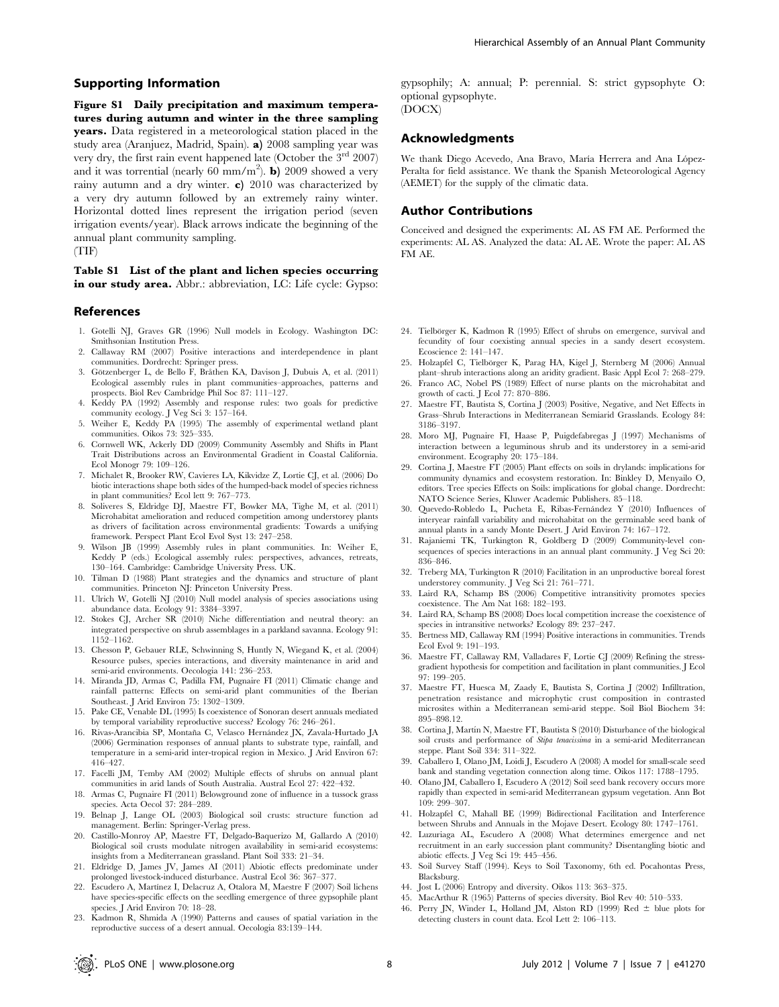Figure S1 Daily precipitation and maximum temperatures during autumn and winter in the three sampling years. Data registered in a meteorological station placed in the study area (Aranjuez, Madrid, Spain). a) 2008 sampling year was very dry, the first rain event happened late (October the 3rd 2007) and it was torrential (nearly  $60 \text{ mm/m}^2$ ). **b**) 2009 showed a very rainy autumn and a dry winter. c) 2010 was characterized by a very dry autumn followed by an extremely rainy winter. Horizontal dotted lines represent the irrigation period (seven irrigation events/year). Black arrows indicate the beginning of the annual plant community sampling. (TIF)

Table S1 List of the plant and lichen species occurring in our study area. Abbr.: abbreviation, LC: Life cycle: Gypso:

#### References

- 1. Gotelli NJ, Graves GR (1996) Null models in Ecology. Washington DC: Smithsonian Institution Press.
- 2. Callaway RM (2007) Positive interactions and interdependence in plant communities. Dordrecht: Springer press.
- 3. Götzenberger L, de Bello F, Bråthen KA, Davison J, Dubuis A, et al. (2011) Ecological assembly rules in plant communities–approaches, patterns and prospects. Biol Rev Cambridge Phil Soc 87: 111–127.
- 4. Keddy PA (1992) Assembly and response rules: two goals for predictive community ecology. J Veg Sci 3: 157–164.
- 5. Weiher E, Keddy PA (1995) The assembly of experimental wetland plant communities. Oikos 73: 325–335.
- 6. Cornwell WK, Ackerly DD (2009) Community Assembly and Shifts in Plant Trait Distributions across an Environmental Gradient in Coastal California. Ecol Monogr 79: 109–126.
- 7. Michalet R, Brooker RW, Cavieres LA, Kikvidze Z, Lortie CJ, et al. (2006) Do biotic interactions shape both sides of the humped-back model of species richness in plant communities? Ecol lett 9: 767–773.
- 8. Soliveres S, Eldridge DJ, Maestre FT, Bowker MA, Tighe M, et al. (2011) Microhabitat amelioration and reduced competition among understorey plants as drivers of facilitation across environmental gradients: Towards a unifying framework. Perspect Plant Ecol Evol Syst 13: 247–258.
- 9. Wilson JB (1999) Assembly rules in plant communities. In: Weiher E, Keddy P (eds.) Ecological assembly rules: perspectives, advances, retreats, 130–164. Cambridge: Cambridge University Press. UK.
- 10. Tilman D (1988) Plant strategies and the dynamics and structure of plant communities. Princeton NJ: Princeton University Press.
- 11. Ulrich W, Gotelli NJ (2010) Null model analysis of species associations using abundance data. Ecology 91: 3384–3397.
- 12. Stokes CJ, Archer SR (2010) Niche differentiation and neutral theory: an integrated perspective on shrub assemblages in a parkland savanna. Ecology 91: 1152–1162.
- 13. Chesson P, Gebauer RLE, Schwinning S, Huntly N, Wiegand K, et al. (2004) Resource pulses, species interactions, and diversity maintenance in arid and semi-arid environments. Oecologia 141: 236–253.
- 14. Miranda JD, Armas C, Padilla FM, Pugnaire FI (2011) Climatic change and rainfall patterns: Effects on semi-arid plant communities of the Iberian Southeast. J Arid Environ 75: 1302–1309.
- 15. Pake CE, Venable DL (1995) Is coexistence of Sonoran desert annuals mediated by temporal variability reproductive success? Ecology 76: 246–261.
- 16. Rivas-Arancibia SP, Montaña C, Velasco Hernández JX, Zavala-Hurtado JA (2006) Germination responses of annual plants to substrate type, rainfall, and temperature in a semi-arid inter-tropical region in Mexico. J Arid Environ 67: 416–427.
- 17. Facelli JM, Temby AM (2002) Multiple effects of shrubs on annual plant communities in arid lands of South Australia. Austral Ecol 27: 422–432.
- 18. Armas C, Pugnaire FI (2011) Belowground zone of influence in a tussock grass species. Acta Oecol 37: 284–289.
- 19. Belnap J, Lange OL (2003) Biological soil crusts: structure function ad management. Berlin: Springer-Verlag press.
- 20. Castillo-Monroy AP, Maestre FT, Delgado-Baquerizo M, Gallardo A (2010) Biological soil crusts modulate nitrogen availability in semi-arid ecosystems: insights from a Mediterranean grassland. Plant Soil 333: 21–34.
- 21. Eldridge D, James JV, James AI (2011) Abiotic effects predominate under prolonged livestock-induced disturbance. Austral Ecol 36: 367–377.
- 22. Escudero A, Martínez I, Delacruz A, Otalora M, Maestre F (2007) Soil lichens have species-specific effects on the seedling emergence of three gypsophile plant species. J Arid Environ 70: 18–28.
- 23. Kadmon R, Shmida A (1990) Patterns and causes of spatial variation in the reproductive success of a desert annual. Oecologia 83:139–144.

gypsophily; A: annual; P: perennial. S: strict gypsophyte O: optional gypsophyte. (DOCX)

# Acknowledgments

We thank Diego Acevedo, Ana Bravo, María Herrera and Ana López-Peralta for field assistance. We thank the Spanish Meteorological Agency (AEMET) for the supply of the climatic data.

#### Author Contributions

Conceived and designed the experiments: AL AS FM AE. Performed the experiments: AL AS. Analyzed the data: AL AE. Wrote the paper: AL AS FM AE.

- 24. Tielbörger K, Kadmon R (1995) Effect of shrubs on emergence, survival and fecundity of four coexisting annual species in a sandy desert ecosystem. Ecoscience 2: 141–147.
- 25. Holzapfel C, Tielbörger K, Parag HA, Kigel J, Sternberg M (2006) Annual plant–shrub interactions along an aridity gradient. Basic Appl Ecol 7: 268–279.
- 26. Franco AC, Nobel PS (1989) Effect of nurse plants on the microhabitat and growth of cacti. J Ecol 77: 870–886.
- 27. Maestre FT, Bautista S, Cortina J (2003) Positive, Negative, and Net Effects in Grass–Shrub Interactions in Mediterranean Semiarid Grasslands. Ecology 84: 3186–3197.
- 28. Moro MJ, Pugnaire FI, Haase P, Puigdefabregas J (1997) Mechanisms of interaction between a leguminous shrub and its understorey in a semi-arid environment. Ecography 20: 175–184.
- 29. Cortina J, Maestre FT (2005) Plant effects on soils in drylands: implications for community dynamics and ecosystem restoration. In: Binkley D, Menyailo O, editors. Tree species Effects on Soils: implications for global change. Dordrecht: NATO Science Series, Kluwer Academic Publishers. 85–118.
- 30. Quevedo-Robledo L, Pucheta E, Ribas-Fernández Y (2010) Influences of interyear rainfall variability and microhabitat on the germinable seed bank of annual plants in a sandy Monte Desert. J Arid Environ 74: 167–172.
- 31. Rajaniemi TK, Turkington R, Goldberg D (2009) Community-level consequences of species interactions in an annual plant community. I Veg Sci 20: 836–846.
- 32. Treberg MA, Turkington R (2010) Facilitation in an unproductive boreal forest understorey community. J Veg Sci 21: 761–771.
- 33. Laird RA, Schamp BS (2006) Competitive intransitivity promotes species coexistence. The Am Nat 168: 182–193.
- 34. Laird RA, Schamp BS (2008) Does local competition increase the coexistence of species in intransitive networks? Ecology 89: 237–247.
- 35. Bertness MD, Callaway RM (1994) Positive interactions in communities. Trends Ecol Evol 9: 191–193.
- 36. Maestre FT, Callaway RM, Valladares F, Lortie CJ (2009) Refining the stressgradient hypothesis for competition and facilitation in plant communities. J Ecol 97: 199–205.
- 37. Maestre FT, Huesca M, Zaady E, Bautista S, Cortina J (2002) Infilltration, penetration resistance and microphytic crust composition in contrasted microsites within a Mediterranean semi-arid steppe. Soil Biol Biochem 34: 895–898.12.
- 38. Cortina J, Martín N, Maestre FT, Bautista S (2010) Disturbance of the biological soil crusts and performance of Stipa tenacissima in a semi-arid Mediterranean steppe. Plant Soil 334: 311–322.
- 39. Caballero I, Olano JM, Loidi J, Escudero A (2008) A model for small-scale seed bank and standing vegetation connection along time. Oikos 117: 1788–1795.
- 40. Olano JM, Caballero I, Escudero A (2012) Soil seed bank recovery occurs more rapidly than expected in semi-arid Mediterranean gypsum vegetation. Ann Bot 109: 299–307.
- 41. Holzapfel C, Mahall BE (1999) Bidirectional Facilitation and Interference between Shrubs and Annuals in the Mojave Desert. Ecology 80: 1747–1761.
- 42. Luzuriaga AL, Escudero A (2008) What determines emergence and net recruitment in an early succession plant community? Disentangling biotic and abiotic effects. J Veg Sci 19: 445–456.
- 43. Soil Survey Staff (1994). Keys to Soil Taxonomy, 6th ed. Pocahontas Press, Blacksburg.
- 44. Jost L (2006) Entropy and diversity. Oikos 113: 363–375.
- 45. MacArthur R (1965) Patterns of species diversity. Biol Rev 40: 510–533.
- 46. Perry JN, Winder L, Holland JM, Alston RD (1999) Red  $\pm$  blue plots for detecting clusters in count data. Ecol Lett 2: 106–113.